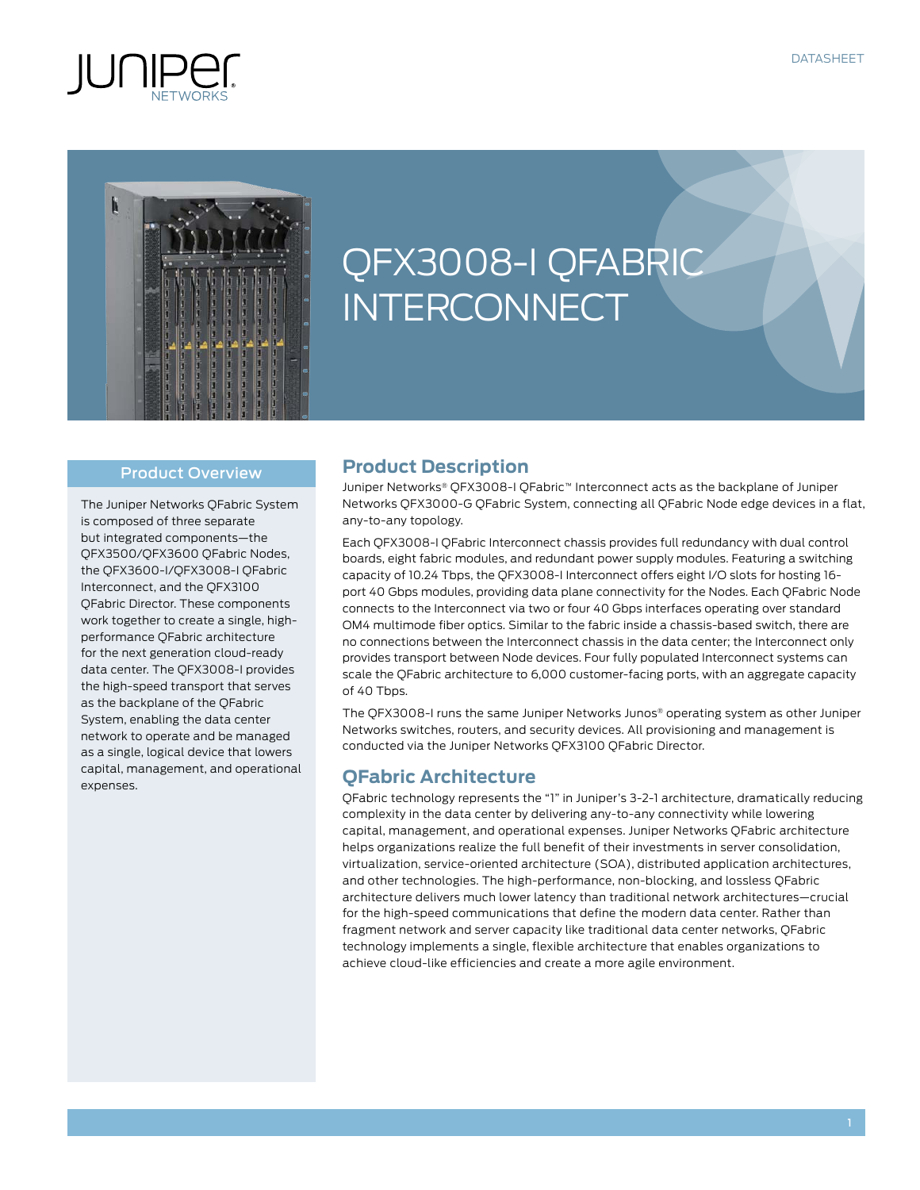



# QFX3008-I QFABRIC **INTERCONNECT**

#### Product Overview

The Juniper Networks QFabric System is composed of three separate but integrated components—the QFX3500/QFX3600 QFabric Nodes, the QFX3600-I/QFX3008-I QFabric Interconnect, and the QFX3100 QFabric Director. These components work together to create a single, highperformance QFabric architecture for the next generation cloud-ready data center. The QFX3008-I provides the high-speed transport that serves as the backplane of the QFabric System, enabling the data center network to operate and be managed as a single, logical device that lowers capital, management, and operational expenses.

## **Product Description**

Juniper Networks® QFX3008-I QFabric™ Interconnect acts as the backplane of Juniper Networks QFX3000-G QFabric System, connecting all QFabric Node edge devices in a flat, any-to-any topology.

Each QFX3008-I QFabric Interconnect chassis provides full redundancy with dual control boards, eight fabric modules, and redundant power supply modules. Featuring a switching capacity of 10.24 Tbps, the QFX3008-I Interconnect offers eight I/O slots for hosting 16 port 40 Gbps modules, providing data plane connectivity for the Nodes. Each QFabric Node connects to the Interconnect via two or four 40 Gbps interfaces operating over standard OM4 multimode fiber optics. Similar to the fabric inside a chassis-based switch, there are no connections between the Interconnect chassis in the data center; the Interconnect only provides transport between Node devices. Four fully populated Interconnect systems can scale the QFabric architecture to 6,000 customer-facing ports, with an aggregate capacity of 40 Tbps.

The QFX3008-I runs the same Juniper Networks Junos® operating system as other Juniper Networks switches, routers, and security devices. All provisioning and management is conducted via the Juniper Networks QFX3100 QFabric Director.

## **QFabric Architecture**

QFabric technology represents the "1" in Juniper's 3-2-1 architecture, dramatically reducing complexity in the data center by delivering any-to-any connectivity while lowering capital, management, and operational expenses. Juniper Networks QFabric architecture helps organizations realize the full benefit of their investments in server consolidation, virtualization, service-oriented architecture (SOA), distributed application architectures, and other technologies. The high-performance, non-blocking, and lossless QFabric architecture delivers much lower latency than traditional network architectures—crucial for the high-speed communications that define the modern data center. Rather than fragment network and server capacity like traditional data center networks, QFabric technology implements a single, flexible architecture that enables organizations to achieve cloud-like efficiencies and create a more agile environment.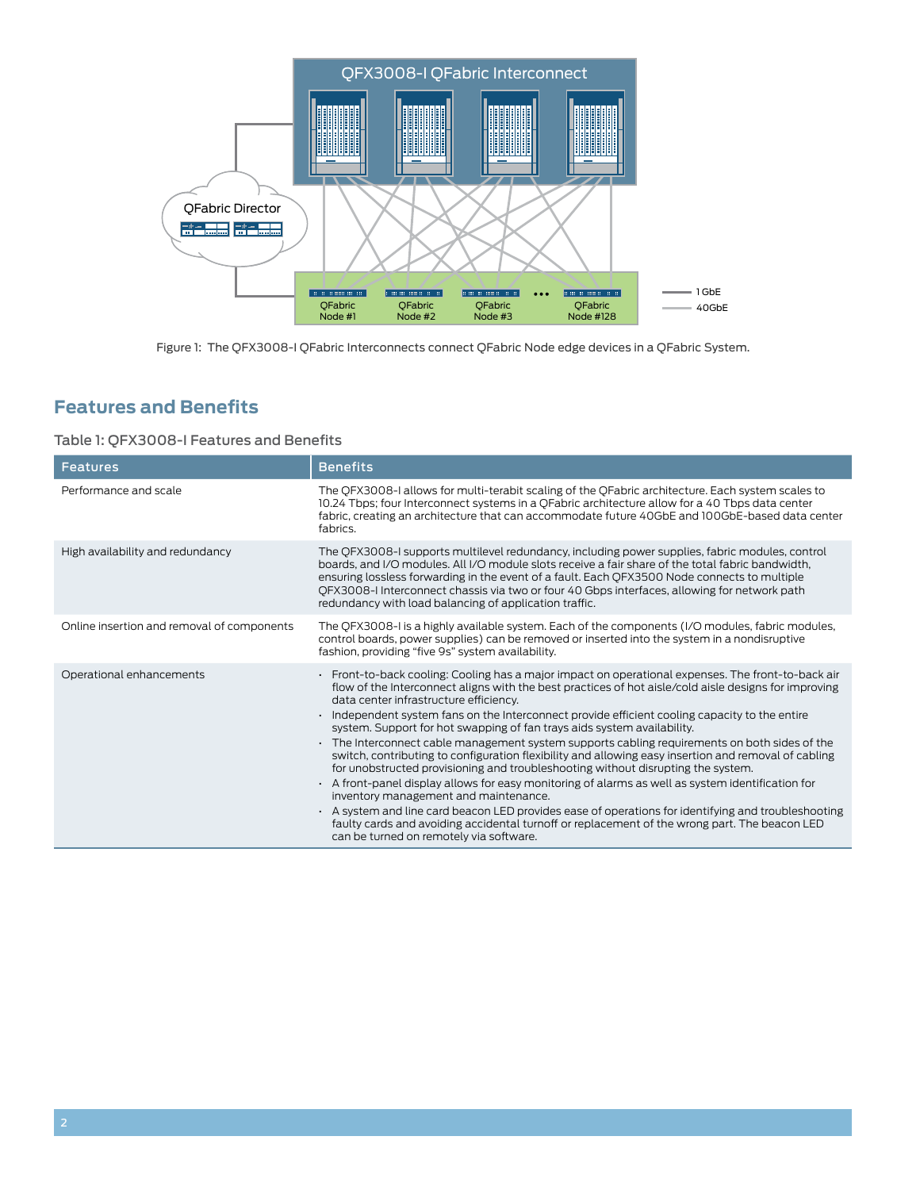

Figure 1: The QFX3008-I QFabric Interconnects connect QFabric Node edge devices in a QFabric System.

# **Features and Benefits**

## Table 1: QFX3008-I Features and Benefits

| <b>Features</b>                            | <b>Benefits</b>                                                                                                                                                                                                                                                                                                                                                                                                                                                                                                                                                                                                                                                                                                                                                                                                                                                                                                                                                                                                                                                                                                                  |
|--------------------------------------------|----------------------------------------------------------------------------------------------------------------------------------------------------------------------------------------------------------------------------------------------------------------------------------------------------------------------------------------------------------------------------------------------------------------------------------------------------------------------------------------------------------------------------------------------------------------------------------------------------------------------------------------------------------------------------------------------------------------------------------------------------------------------------------------------------------------------------------------------------------------------------------------------------------------------------------------------------------------------------------------------------------------------------------------------------------------------------------------------------------------------------------|
| Performance and scale                      | The QFX3008-I allows for multi-terabit scaling of the QFabric architecture. Each system scales to<br>10.24 Tbps; four Interconnect systems in a QFabric architecture allow for a 40 Tbps data center<br>fabric, creating an architecture that can accommodate future 40GbE and 100GbE-based data center<br>fabrics.                                                                                                                                                                                                                                                                                                                                                                                                                                                                                                                                                                                                                                                                                                                                                                                                              |
| High availability and redundancy           | The QFX3008-I supports multilevel redundancy, including power supplies, fabric modules, control<br>boards, and I/O modules. All I/O module slots receive a fair share of the total fabric bandwidth,<br>ensuring lossless forwarding in the event of a fault. Each QFX3500 Node connects to multiple<br>QFX3008-I Interconnect chassis via two or four 40 Gbps interfaces, allowing for network path<br>redundancy with load balancing of application traffic.                                                                                                                                                                                                                                                                                                                                                                                                                                                                                                                                                                                                                                                                   |
| Online insertion and removal of components | The QFX3008-I is a highly available system. Each of the components (I/O modules, fabric modules,<br>control boards, power supplies) can be removed or inserted into the system in a nondisruptive<br>fashion, providing "five 9s" system availability.                                                                                                                                                                                                                                                                                                                                                                                                                                                                                                                                                                                                                                                                                                                                                                                                                                                                           |
| Operational enhancements                   | · Front-to-back cooling: Cooling has a major impact on operational expenses. The front-to-back air<br>flow of the Interconnect aligns with the best practices of hot aisle/cold aisle designs for improving<br>data center infrastructure efficiency.<br>Independent system fans on the Interconnect provide efficient cooling capacity to the entire<br>system. Support for hot swapping of fan trays aids system availability.<br>The Interconnect cable management system supports cabling requirements on both sides of the<br>switch, contributing to configuration flexibility and allowing easy insertion and removal of cabling<br>for unobstructed provisioning and troubleshooting without disrupting the system.<br>A front-panel display allows for easy monitoring of alarms as well as system identification for<br>inventory management and maintenance.<br>$\cdot$ A system and line card beacon LED provides ease of operations for identifying and troubleshooting<br>faulty cards and avoiding accidental turnoff or replacement of the wrong part. The beacon LED<br>can be turned on remotely via software. |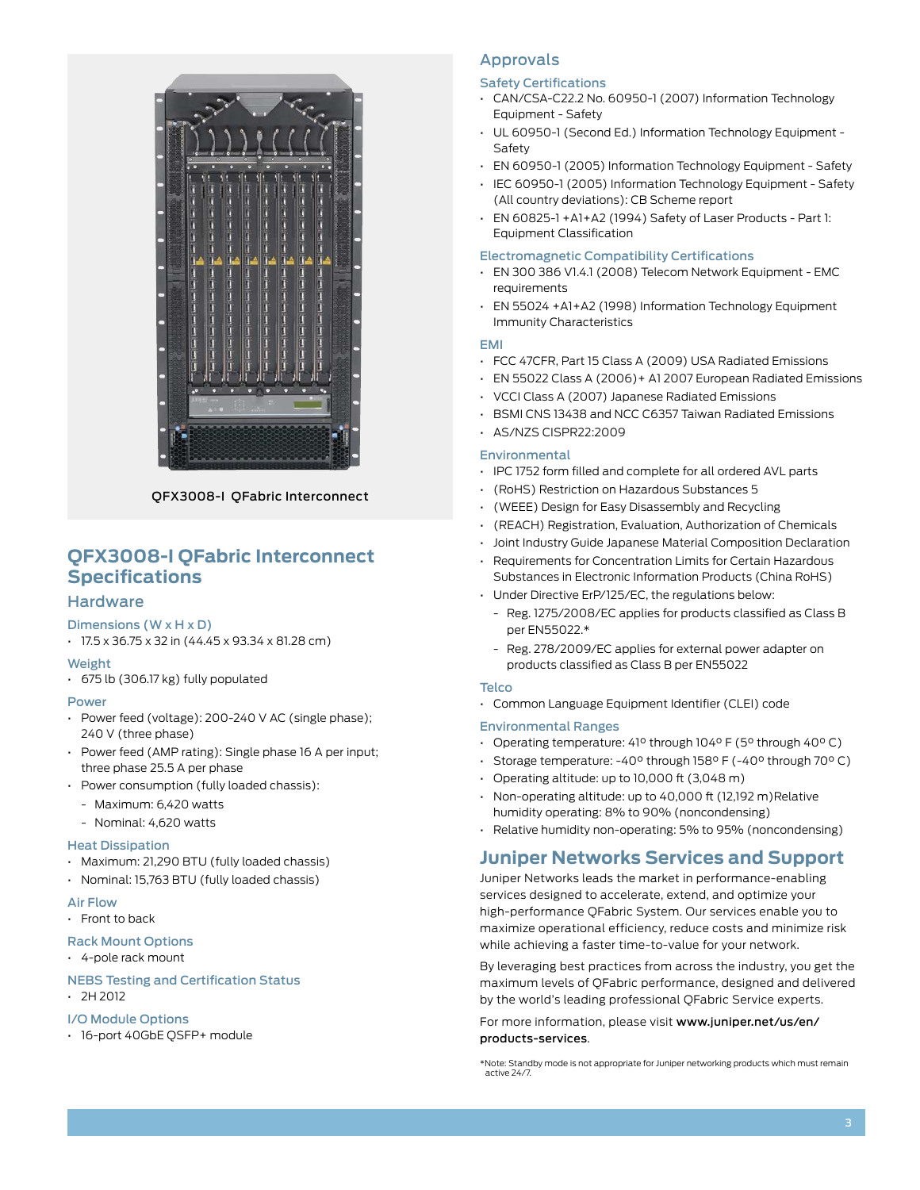

QFX3008-I QFabric Interconnect

# **QFX3008-I QFabric Interconnect Specifications**

## **Hardware**

#### Dimensions (W x H x D)

 $\cdot$  17.5 x 36.75 x 32 in (44.45 x 93.34 x 81.28 cm)

#### Weight

• 675 lb (306.17 kg) fully populated

#### Power

- Power feed (voltage): 200-240 V AC (single phase); 240 V (three phase)
- • Power feed (AMP rating): Single phase 16 A per input; three phase 25.5 A per phase
- Power consumption (fully loaded chassis):
	- Maximum: 6,420 watts
	- Nominal: 4,620 watts

#### Heat Dissipation

- • Maximum: 21,290 BTU (fully loaded chassis)
- • Nominal: 15,763 BTU (fully loaded chassis)

#### Air Flow

- • Front to back
- Rack Mount Options

#### • 4-pole rack mount

#### NEBS Testing and Certification Status

 $\cdot$  2H 2012

#### I/O Module Options

• 16-port 40GbE QSFP+ module

## Approvals

#### Safety Certifications

- • CAN/CSA-C22.2 No. 60950-1 (2007) Information Technology Equipment - Safety
- • UL 60950-1 (Second Ed.) Information Technology Equipment Safety
- • EN 60950-1 (2005) Information Technology Equipment Safety
- • IEC 60950-1 (2005) Information Technology Equipment Safety (All country deviations): CB Scheme report
- • EN 60825-1 +A1+A2 (1994) Safety of Laser Products Part 1: Equipment Classification

#### Electromagnetic Compatibility Certifications

- • EN 300 386 V1.4.1 (2008) Telecom Network Equipment EMC requirements
- • EN 55024 +A1+A2 (1998) Information Technology Equipment Immunity Characteristics

#### EMI

- • FCC 47CFR, Part 15 Class A (2009) USA Radiated Emissions
- • EN 55022 Class A (2006)+ A1 2007 European Radiated Emissions
- • VCCI Class A (2007) Japanese Radiated Emissions
- • BSMI CNS 13438 and NCC C6357 Taiwan Radiated Emissions
- • AS/NZS CISPR22:2009

#### Environmental

- • IPC 1752 form filled and complete for all ordered AVL parts
- • (RoHS) Restriction on Hazardous Substances 5
- • (WEEE) Design for Easy Disassembly and Recycling
- • (REACH) Registration, Evaluation, Authorization of Chemicals
- • Joint Industry Guide Japanese Material Composition Declaration
- Requirements for Concentration Limits for Certain Hazardous Substances in Electronic Information Products (China RoHS)
- Under Directive ErP/125/EC, the regulations below:
	- Reg. 1275/2008/EC applies for products classified as Class B per EN55022.\*
	- Reg. 278/2009/EC applies for external power adapter on products classified as Class B per EN55022

#### **Telco**

• Common Language Equipment Identifier (CLEI) code

#### Environmental Ranges

- • Operating temperature: 41° through 104° F (5° through 40° C)
- Storage temperature: -40° through 158° F (-40° through 70° C)
- $\cdot$  Operating altitude: up to 10,000 ft (3,048 m)
- • Non-operating altitude: up to 40,000 ft (12,192 m)Relative humidity operating: 8% to 90% (noncondensing)
- • Relative humidity non-operating: 5% to 95% (noncondensing)

## **Juniper Networks Services and Support**

Juniper Networks leads the market in performance-enabling services designed to accelerate, extend, and optimize your high-performance QFabric System. Our services enable you to maximize operational efficiency, reduce costs and minimize risk while achieving a faster time-to-value for your network.

By leveraging best practices from across the industry, you get the maximum levels of QFabric performance, designed and delivered by the world's leading professional QFabric Service experts.

#### For more information, please visit [www.juniper.net/us/en/](www.juniper.net/us/en/products-services) [products-services](www.juniper.net/us/en/products-services).

\*Note: Standby mode is not appropriate for Juniper networking products which must remain active 24/7.